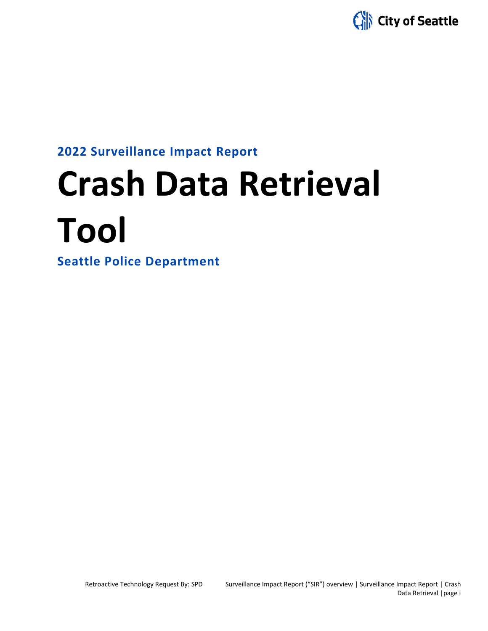

# **2022 Surveillance Impact Report**

# **Crash Data Retrieval Tool**

**Seattle Police Department**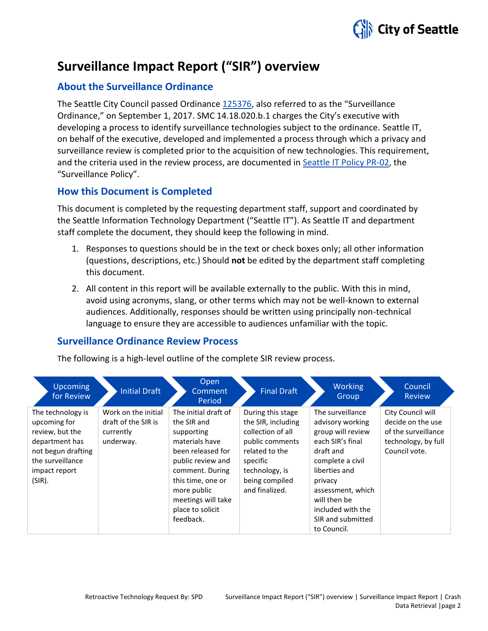

# **Surveillance Impact Report ("SIR") overview**

# **About the Surveillance Ordinance**

The Seattle City Council passed Ordinance [125376,](http://seattle.legistar.com/LegislationDetail.aspx?ID=2981172&GUID=0B2FEFC0-822F-4907-9409-E318537E5330&Options=Advanced&Search=) also referred to as the "Surveillance Ordinance," on September 1, 2017. SMC 14.18.020.b.1 charges the City's executive with developing a process to identify surveillance technologies subject to the ordinance. Seattle IT, on behalf of the executive, developed and implemented a process through which a privacy and surveillance review is completed prior to the acquisition of new technologies. This requirement, and the criteria used in the review process, are documented in Seattle IT [Policy PR-02,](https://seattlegov.sharepoint.com/sites/IT-CDR/Operating_Docs/PR-02SurveillancePolicy.pdf) the "Surveillance Policy".

# **How this Document is Completed**

This document is completed by the requesting department staff, support and coordinated by the Seattle Information Technology Department ("Seattle IT"). As Seattle IT and department staff complete the document, they should keep the following in mind.

- 1. Responses to questions should be in the text or check boxes only; all other information (questions, descriptions, etc.) Should **not** be edited by the department staff completing this document.
- 2. All content in this report will be available externally to the public. With this in mind, avoid using acronyms, slang, or other terms which may not be well-known to external audiences. Additionally, responses should be written using principally non-technical language to ensure they are accessible to audiences unfamiliar with the topic.

# **Surveillance Ordinance Review Process**

The following is a high-level outline of the complete SIR review process.

| <b>Upcoming</b><br>for Review                                                                                                               | <b>Initial Draft</b>                                                 | Open<br>Comment<br>Period                                                                                                                                                                                                   | <b>Final Draft</b>                                                                                                                                                  | <b>Working</b><br>Group                                                                                                                                                                                                                  | Council<br><b>Review</b>                                                                              |
|---------------------------------------------------------------------------------------------------------------------------------------------|----------------------------------------------------------------------|-----------------------------------------------------------------------------------------------------------------------------------------------------------------------------------------------------------------------------|---------------------------------------------------------------------------------------------------------------------------------------------------------------------|------------------------------------------------------------------------------------------------------------------------------------------------------------------------------------------------------------------------------------------|-------------------------------------------------------------------------------------------------------|
| The technology is<br>upcoming for<br>review, but the<br>department has<br>not begun drafting<br>the surveillance<br>impact report<br>(SIR). | Work on the initial<br>draft of the SIR is<br>currently<br>underway. | The initial draft of<br>the SIR and<br>supporting<br>materials have<br>been released for<br>public review and<br>comment. During<br>this time, one or<br>more public<br>meetings will take<br>place to solicit<br>feedback. | During this stage<br>the SIR, including<br>collection of all<br>public comments<br>related to the<br>specific<br>technology, is<br>being compiled<br>and finalized. | The surveillance<br>advisory working<br>group will review<br>each SIR's final<br>draft and<br>complete a civil<br>liberties and<br>privacy<br>assessment, which<br>will then be<br>included with the<br>SIR and submitted<br>to Council. | City Council will<br>decide on the use<br>of the surveillance<br>technology, by full<br>Council vote. |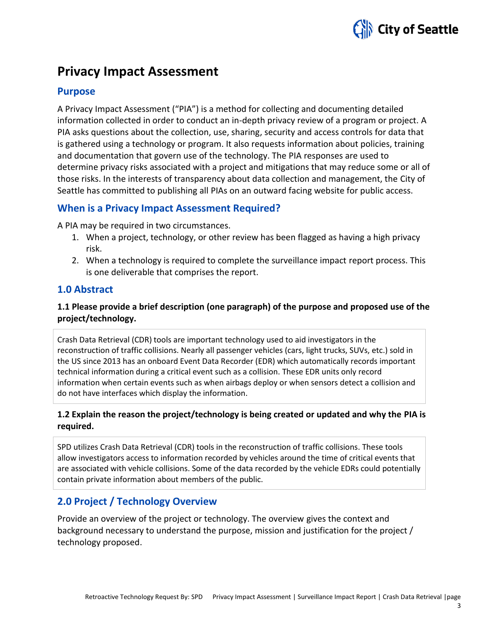

# **Privacy Impact Assessment**

# **Purpose**

A Privacy Impact Assessment ("PIA") is a method for collecting and documenting detailed information collected in order to conduct an in-depth privacy review of a program or project. A PIA asks questions about the collection, use, sharing, security and access controls for data that is gathered using a technology or program. It also requests information about policies, training and documentation that govern use of the technology. The PIA responses are used to determine privacy risks associated with a project and mitigations that may reduce some or all of those risks. In the interests of transparency about data collection and management, the City of Seattle has committed to publishing all PIAs on an outward facing website for public access.

# **When is a Privacy Impact Assessment Required?**

A PIA may be required in two circumstances.

- 1. When a project, technology, or other review has been flagged as having a high privacy risk.
- 2. When a technology is required to complete the surveillance impact report process. This is one deliverable that comprises the report.

# **1.0 Abstract**

# **1.1 Please provide a brief description (one paragraph) of the purpose and proposed use of the project/technology.**

Crash Data Retrieval (CDR) tools are important technology used to aid investigators in the reconstruction of traffic collisions. Nearly all passenger vehicles (cars, light trucks, SUVs, etc.) sold in the US since 2013 has an onboard Event Data Recorder (EDR) which automatically records important technical information during a critical event such as a collision. These EDR units only record information when certain events such as when airbags deploy or when sensors detect a collision and do not have interfaces which display the information.

# **1.2 Explain the reason the project/technology is being created or updated and why the PIA is required.**

SPD utilizes Crash Data Retrieval (CDR) tools in the reconstruction of traffic collisions. These tools allow investigators access to information recorded by vehicles around the time of critical events that are associated with vehicle collisions. Some of the data recorded by the vehicle EDRs could potentially contain private information about members of the public.

# **2.0 Project / Technology Overview**

Provide an overview of the project or technology. The overview gives the context and background necessary to understand the purpose, mission and justification for the project / technology proposed.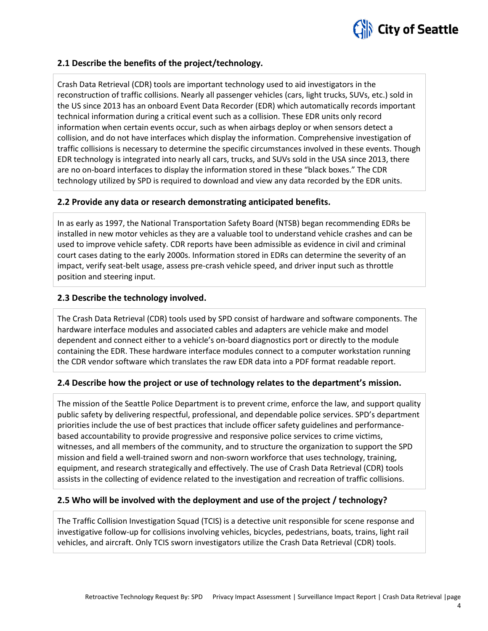

#### **2.1 Describe the benefits of the project/technology.**

Crash Data Retrieval (CDR) tools are important technology used to aid investigators in the reconstruction of traffic collisions. Nearly all passenger vehicles (cars, light trucks, SUVs, etc.) sold in the US since 2013 has an onboard Event Data Recorder (EDR) which automatically records important technical information during a critical event such as a collision. These EDR units only record information when certain events occur, such as when airbags deploy or when sensors detect a collision, and do not have interfaces which display the information. Comprehensive investigation of traffic collisions is necessary to determine the specific circumstances involved in these events. Though EDR technology is integrated into nearly all cars, trucks, and SUVs sold in the USA since 2013, there are no on-board interfaces to display the information stored in these "black boxes." The CDR technology utilized by SPD is required to download and view any data recorded by the EDR units.

#### **2.2 Provide any data or research demonstrating anticipated benefits.**

In as early as 1997, the National Transportation Safety Board (NTSB) began recommending EDRs be installed in new motor vehicles as they are a valuable tool to understand vehicle crashes and can be used to improve vehicle safety. CDR reports have been admissible as evidence in civil and criminal court cases dating to the early 2000s. Information stored in EDRs can determine the severity of an impact, verify seat-belt usage, assess pre-crash vehicle speed, and driver input such as throttle position and steering input.

#### **2.3 Describe the technology involved.**

The Crash Data Retrieval (CDR) tools used by SPD consist of hardware and software components. The hardware interface modules and associated cables and adapters are vehicle make and model dependent and connect either to a vehicle's on-board diagnostics port or directly to the module containing the EDR. These hardware interface modules connect to a computer workstation running the CDR vendor software which translates the raw EDR data into a PDF format readable report.

#### **2.4 Describe how the project or use of technology relates to the department's mission.**

The mission of the Seattle Police Department is to prevent crime, enforce the law, and support quality public safety by delivering respectful, professional, and dependable police services. SPD's department priorities include the use of best practices that include officer safety guidelines and performancebased accountability to provide progressive and responsive police services to crime victims, witnesses, and all members of the community, and to structure the organization to support the SPD mission and field a well-trained sworn and non-sworn workforce that uses technology, training, equipment, and research strategically and effectively. The use of Crash Data Retrieval (CDR) tools assists in the collecting of evidence related to the investigation and recreation of traffic collisions.

#### **2.5 Who will be involved with the deployment and use of the project / technology?**

The Traffic Collision Investigation Squad (TCIS) is a detective unit responsible for scene response and investigative follow-up for collisions involving vehicles, bicycles, pedestrians, boats, trains, light rail vehicles, and aircraft. Only TCIS sworn investigators utilize the Crash Data Retrieval (CDR) tools.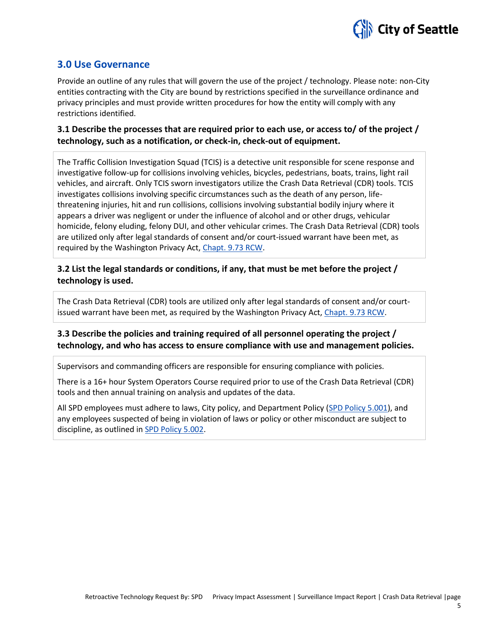

# **3.0 Use Governance**

Provide an outline of any rules that will govern the use of the project / technology. Please note: non-City entities contracting with the City are bound by restrictions specified in the surveillance ordinance and privacy principles and must provide written procedures for how the entity will comply with any restrictions identified.

#### **3.1 Describe the processes that are required prior to each use, or access to/ of the project / technology, such as a notification, or check-in, check-out of equipment.**

The Traffic Collision Investigation Squad (TCIS) is a detective unit responsible for scene response and investigative follow-up for collisions involving vehicles, bicycles, pedestrians, boats, trains, light rail vehicles, and aircraft. Only TCIS sworn investigators utilize the Crash Data Retrieval (CDR) tools. TCIS investigates collisions involving specific circumstances such as the death of any person, lifethreatening injuries, hit and run collisions, collisions involving substantial bodily injury where it appears a driver was negligent or under the influence of alcohol and or other drugs, vehicular homicide, felony eluding, felony DUI, and other vehicular crimes. The Crash Data Retrieval (CDR) tools are utilized only after legal standards of consent and/or court-issued warrant have been met, as required by the Washington Privacy Act, [Chapt. 9.73 RCW.](http://app.leg.wa.gov/rcw/default.aspx?cite=9.73)

# **3.2 List the legal standards or conditions, if any, that must be met before the project / technology is used.**

The Crash Data Retrieval (CDR) tools are utilized only after legal standards of consent and/or courtissued warrant have been met, as required by the Washington Privacy Act, [Chapt. 9.73 RCW.](http://app.leg.wa.gov/rcw/default.aspx?cite=9.73)

# **3.3 Describe the policies and training required of all personnel operating the project / technology, and who has access to ensure compliance with use and management policies.**

Supervisors and commanding officers are responsible for ensuring compliance with policies.

There is a 16+ hour System Operators Course required prior to use of the Crash Data Retrieval (CDR) tools and then annual training on analysis and updates of the data.

All SPD employees must adhere to laws, City policy, and Department Policy [\(SPD Policy 5.001\)](http://www.seattle.gov/police-manual/title-5---employee-conduct/5001---standards-and-duties), and any employees suspected of being in violation of laws or policy or other misconduct are subject to discipline, as outlined in [SPD Policy 5.002.](http://www.seattle.gov/police-manual/title-5---employee-conduct/5002---responsibilities-of-employees-concerning-alleged-policy-violations)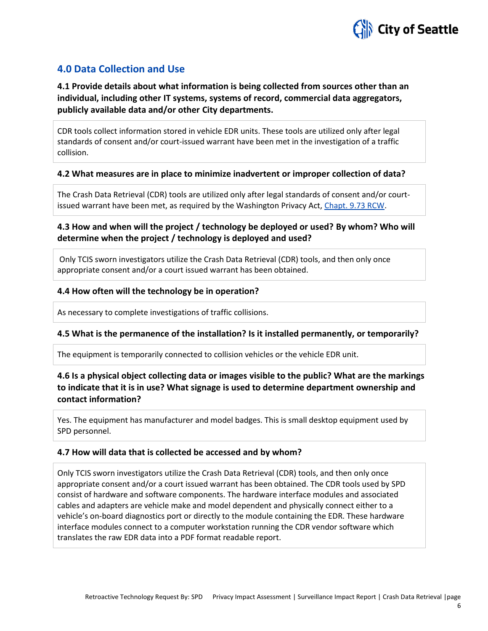

# **4.0 Data Collection and Use**

# **4.1 Provide details about what information is being collected from sources other than an individual, including other IT systems, systems of record, commercial data aggregators, publicly available data and/or other City departments.**

CDR tools collect information stored in vehicle EDR units. These tools are utilized only after legal standards of consent and/or court-issued warrant have been met in the investigation of a traffic collision.

#### **4.2 What measures are in place to minimize inadvertent or improper collection of data?**

The Crash Data Retrieval (CDR) tools are utilized only after legal standards of consent and/or court-issued warrant have been met, as required by the Washington Privacy Act, [Chapt. 9.73 RCW.](http://app.leg.wa.gov/rcw/default.aspx?cite=9.73)

#### **4.3 How and when will the project / technology be deployed or used? By whom? Who will determine when the project / technology is deployed and used?**

Only TCIS sworn investigators utilize the Crash Data Retrieval (CDR) tools, and then only once appropriate consent and/or a court issued warrant has been obtained.

#### **4.4 How often will the technology be in operation?**

As necessary to complete investigations of traffic collisions.

#### **4.5 What is the permanence of the installation? Is it installed permanently, or temporarily?**

The equipment is temporarily connected to collision vehicles or the vehicle EDR unit.

# **4.6 Is a physical object collecting data or images visible to the public? What are the markings to indicate that it is in use? What signage is used to determine department ownership and contact information?**

Yes. The equipment has manufacturer and model badges. This is small desktop equipment used by SPD personnel.

#### **4.7 How will data that is collected be accessed and by whom?**

Only TCIS sworn investigators utilize the Crash Data Retrieval (CDR) tools, and then only once appropriate consent and/or a court issued warrant has been obtained. The CDR tools used by SPD consist of hardware and software components. The hardware interface modules and associated cables and adapters are vehicle make and model dependent and physically connect either to a vehicle's on-board diagnostics port or directly to the module containing the EDR. These hardware interface modules connect to a computer workstation running the CDR vendor software which translates the raw EDR data into a PDF format readable report.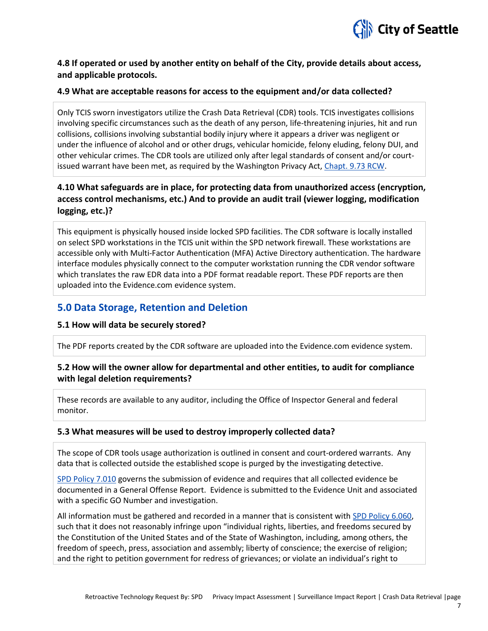

## **4.8 If operated or used by another entity on behalf of the City, provide details about access, and applicable protocols.**

#### **4.9 What are acceptable reasons for access to the equipment and/or data collected?**

Only TCIS sworn investigators utilize the Crash Data Retrieval (CDR) tools. TCIS investigates collisions involving specific circumstances such as the death of any person, life-threatening injuries, hit and run collisions, collisions involving substantial bodily injury where it appears a driver was negligent or under the influence of alcohol and or other drugs, vehicular homicide, felony eluding, felony DUI, and other vehicular crimes. The CDR tools are utilized only after legal standards of consent and/or court-issued warrant have been met, as required by the Washington Privacy Act, [Chapt. 9.73 RCW.](http://app.leg.wa.gov/rcw/default.aspx?cite=9.73)

# **4.10 What safeguards are in place, for protecting data from unauthorized access (encryption, access control mechanisms, etc.) And to provide an audit trail (viewer logging, modification logging, etc.)?**

This equipment is physically housed inside locked SPD facilities. The CDR software is locally installed on select SPD workstations in the TCIS unit within the SPD network firewall. These workstations are accessible only with Multi-Factor Authentication (MFA) Active Directory authentication. The hardware interface modules physically connect to the computer workstation running the CDR vendor software which translates the raw EDR data into a PDF format readable report. These PDF reports are then uploaded into the Evidence.com evidence system.

# **5.0 Data Storage, Retention and Deletion**

#### **5.1 How will data be securely stored?**

The PDF reports created by the CDR software are uploaded into the Evidence.com evidence system.

#### **5.2 How will the owner allow for departmental and other entities, to audit for compliance with legal deletion requirements?**

These records are available to any auditor, including the Office of Inspector General and federal monitor.

#### **5.3 What measures will be used to destroy improperly collected data?**

The scope of CDR tools usage authorization is outlined in consent and court-ordered warrants. Any data that is collected outside the established scope is purged by the investigating detective.

[SPD Policy 7.010](http://www.seattle.gov/police-manual/title-7---evidence-and-property/7010---submitting-evidence) governs the submission of evidence and requires that all collected evidence be documented in a General Offense Report. Evidence is submitted to the Evidence Unit and associated with a specific GO Number and investigation.

All information must be gathered and recorded in a manner that is consistent wit[h SPD Policy 6.060,](http://www.seattle.gov/police-manual/title-6---arrests-search-and-seizure/6060---collection-of-information-for-law-enforcement-purposes) such that it does not reasonably infringe upon "individual rights, liberties, and freedoms secured by the Constitution of the United States and of the State of Washington, including, among others, the freedom of speech, press, association and assembly; liberty of conscience; the exercise of religion; and the right to petition government for redress of grievances; or violate an individual's right to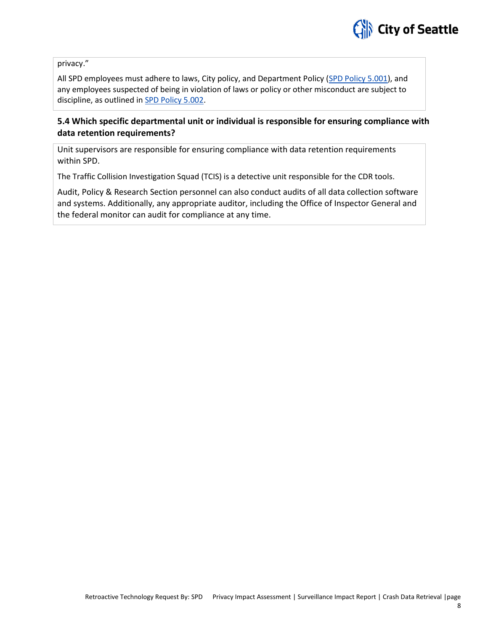

privacy."

All SPD employees must adhere to laws, City policy, and Department Policy [\(SPD Policy 5.001\)](http://www.seattle.gov/police-manual/title-5---employee-conduct/5001---standards-and-duties), and any employees suspected of being in violation of laws or policy or other misconduct are subject to discipline, as outlined in [SPD Policy 5.002.](http://www.seattle.gov/police-manual/title-5---employee-conduct/5002---responsibilities-of-employees-concerning-alleged-policy-violations)

# **5.4 Which specific departmental unit or individual is responsible for ensuring compliance with data retention requirements?**

Unit supervisors are responsible for ensuring compliance with data retention requirements within SPD.

The Traffic Collision Investigation Squad (TCIS) is a detective unit responsible for the CDR tools.

Audit, Policy & Research Section personnel can also conduct audits of all data collection software and systems. Additionally, any appropriate auditor, including the Office of Inspector General and the federal monitor can audit for compliance at any time.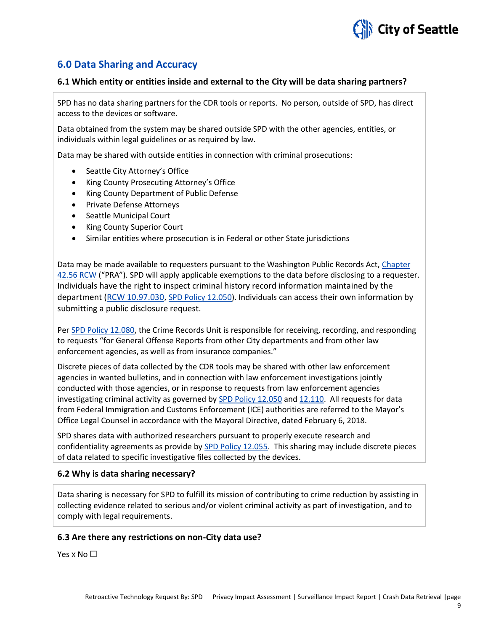

# **6.0 Data Sharing and Accuracy**

#### **6.1 Which entity or entities inside and external to the City will be data sharing partners?**

SPD has no data sharing partners for the CDR tools or reports. No person, outside of SPD, has direct access to the devices or software.

Data obtained from the system may be shared outside SPD with the other agencies, entities, or individuals within legal guidelines or as required by law.

Data may be shared with outside entities in connection with criminal prosecutions:

- Seattle City Attorney's Office
- King County Prosecuting Attorney's Office
- King County Department of Public Defense
- Private Defense Attorneys
- Seattle Municipal Court
- King County Superior Court
- Similar entities where prosecution is in Federal or other State jurisdictions

Data may be made available to requesters pursuant to the Washington Public Records Act, [Chapter](http://apps.leg.wa.gov/RCW/default.aspx?cite=42.56)  [42.56 RCW](http://apps.leg.wa.gov/RCW/default.aspx?cite=42.56) ("PRA"). SPD will apply applicable exemptions to the data before disclosing to a requester. Individuals have the right to inspect criminal history record information maintained by the department [\(RCW 10.97.030,](http://app.leg.wa.gov/rcw/default.aspx?cite=10.97.030) [SPD Policy 12.050\)](http://www.seattle.gov/police-manual/title-12---department-information-systems/12050---criminal-justice-information-systems). Individuals can access their own information by submitting a public disclosure request.

Pe[r SPD Policy 12.080,](http://www.seattle.gov/police-manual/title-12---department-information-systems/12080---department-records-access-inspection-and-dissemination) the Crime Records Unit is responsible for receiving, recording, and responding to requests "for General Offense Reports from other City departments and from other law enforcement agencies, as well as from insurance companies."

Discrete pieces of data collected by the CDR tools may be shared with other law enforcement agencies in wanted bulletins, and in connection with law enforcement investigations jointly conducted with those agencies, or in response to requests from law enforcement agencies investigating criminal activity as governed b[y SPD Policy 12.050](http://www.seattle.gov/police-manual/title-12---department-information-systems/12050---criminal-justice-information-systems) an[d 12.110.](http://www.seattle.gov/police-manual/title-12---department-information-systems/12110---use-of-department-e-mail-and-internet-systems) All requests for data from Federal Immigration and Customs Enforcement (ICE) authorities are referred to the Mayor's Office Legal Counsel in accordance with the Mayoral Directive, dated February 6, 2018.

SPD shares data with authorized researchers pursuant to properly execute research and confidentiality agreements as provide b[y SPD Policy 12.055.](http://www.seattle.gov/police-manual/title-12---department-information-systems/12055---criminal-justice-research) This sharing may include discrete pieces of data related to specific investigative files collected by the devices.

#### **6.2 Why is data sharing necessary?**

Data sharing is necessary for SPD to fulfill its mission of contributing to crime reduction by assisting in collecting evidence related to serious and/or violent criminal activity as part of investigation, and to comply with legal requirements.

#### **6.3 Are there any restrictions on non-City data use?**

Yes x No □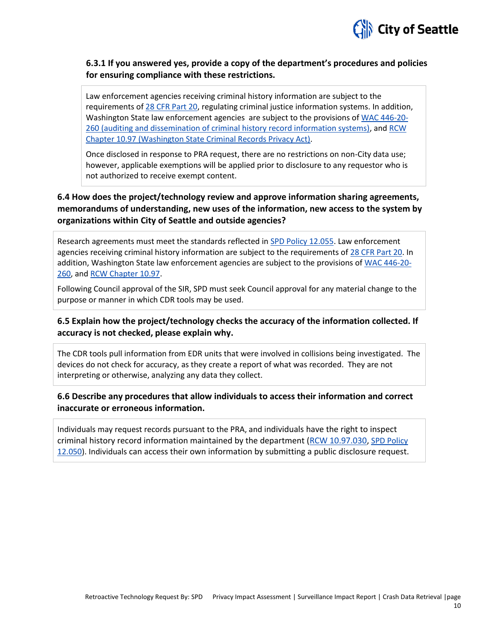

## **6.3.1 If you answered yes, provide a copy of the department's procedures and policies for ensuring compliance with these restrictions.**

Law enforcement agencies receiving criminal history information are subject to the requirements o[f 28 CFR Part 20,](https://www.ecfr.gov/cgi-bin/text-idx?tpl=/ecfrbrowse/Title28/28cfr20_main_02.tpl) regulating criminal justice information systems. In addition, Washington State law enforcement agencies are subject to the provisions of [WAC 446-20-](http://apps.leg.wa.gov/wac/default.aspx?cite=446-20-260) [260](http://apps.leg.wa.gov/wac/default.aspx?cite=446-20-260) (auditing and dissemination of criminal history record information systems), an[d RCW](http://app.leg.wa.gov/rcw/default.aspx?cite=10.97)  [Chapter 10.97](http://app.leg.wa.gov/rcw/default.aspx?cite=10.97) (Washington State Criminal Records Privacy Act).

Once disclosed in response to PRA request, there are no restrictions on non-City data use; however, applicable exemptions will be applied prior to disclosure to any requestor who is not authorized to receive exempt content.

# **6.4 How does the project/technology review and approve information sharing agreements, memorandums of understanding, new uses of the information, new access to the system by organizations within City of Seattle and outside agencies?**

Research agreements must meet the standards reflected in [SPD Policy 12.055.](http://www.seattle.gov/police-manual/title-12---department-information-systems/12055---criminal-justice-research) Law enforcement agencies receiving criminal history information are subject to the requirements o[f 28 CFR Part 20.](https://www.ecfr.gov/cgi-bin/text-idx?tpl=/ecfrbrowse/Title28/28cfr20_main_02.tpl) In addition, Washington State law enforcement agencies are subject to the provisions of [WAC 446-20-](http://apps.leg.wa.gov/wac/default.aspx?cite=446-20-260) [260,](http://apps.leg.wa.gov/wac/default.aspx?cite=446-20-260) and [RCW Chapter 10.97.](http://app.leg.wa.gov/rcw/default.aspx?cite=10.97)

Following Council approval of the SIR, SPD must seek Council approval for any material change to the purpose or manner in which CDR tools may be used.

# **6.5 Explain how the project/technology checks the accuracy of the information collected. If accuracy is not checked, please explain why.**

The CDR tools pull information from EDR units that were involved in collisions being investigated. The devices do not check for accuracy, as they create a report of what was recorded. They are not interpreting or otherwise, analyzing any data they collect.

# **6.6 Describe any procedures that allow individuals to access their information and correct inaccurate or erroneous information.**

Individuals may request records pursuant to the PRA, and individuals have the right to inspect criminal history record information maintained by the department [\(RCW 10.97.030,](http://app.leg.wa.gov/rcw/default.aspx?cite=10.97.030) [SPD Policy](http://www.seattle.gov/police-manual/title-12---department-information-systems/12050---criminal-justice-information-systems)  [12.050\)](http://www.seattle.gov/police-manual/title-12---department-information-systems/12050---criminal-justice-information-systems). Individuals can access their own information by submitting a public disclosure request.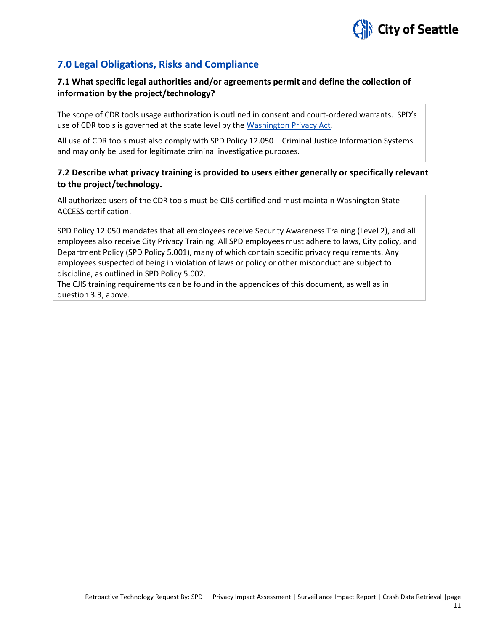

# **7.0 Legal Obligations, Risks and Compliance**

# **7.1 What specific legal authorities and/or agreements permit and define the collection of information by the project/technology?**

The scope of CDR tools usage authorization is outlined in consent and court-ordered warrants. SPD's use of CDR tools is governed at the state level by the [Washington Privacy Act.](http://app.leg.wa.gov/rcw/default.aspx?cite=9.73)

All use of CDR tools must also comply with SPD Policy 12.050 – Criminal Justice Information Systems and may only be used for legitimate criminal investigative purposes.

# **7.2 Describe what privacy training is provided to users either generally or specifically relevant to the project/technology.**

All authorized users of the CDR tools must be CJIS certified and must maintain Washington State ACCESS certification.

SPD Policy 12.050 mandates that all employees receive Security Awareness Training (Level 2), and all employees also receive City Privacy Training. All SPD employees must adhere to laws, City policy, and Department Policy (SPD Policy 5.001), many of which contain specific privacy requirements. Any employees suspected of being in violation of laws or policy or other misconduct are subject to discipline, as outlined in SPD Policy 5.002.

The CJIS training requirements can be found in the appendices of this document, as well as in question 3.3, above.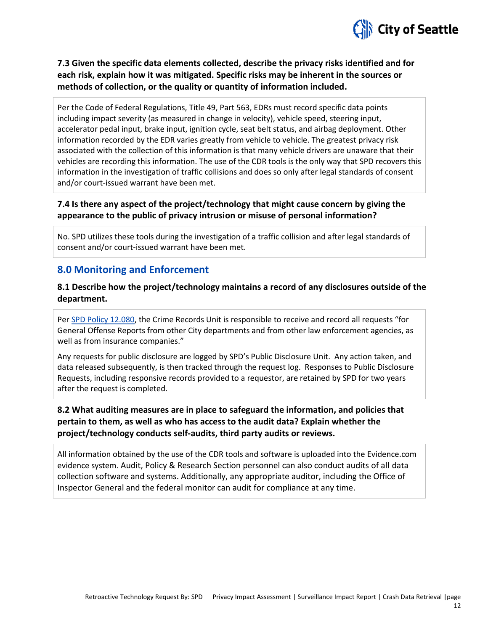

# **7.3 Given the specific data elements collected, describe the privacy risks identified and for each risk, explain how it was mitigated. Specific risks may be inherent in the sources or methods of collection, or the quality or quantity of information included.**

Per the Code of Federal Regulations, Title 49, Part 563, EDRs must record specific data points including impact severity (as measured in change in velocity), vehicle speed, steering input, accelerator pedal input, brake input, ignition cycle, seat belt status, and airbag deployment. Other information recorded by the EDR varies greatly from vehicle to vehicle. The greatest privacy risk associated with the collection of this information is that many vehicle drivers are unaware that their vehicles are recording this information. The use of the CDR tools is the only way that SPD recovers this information in the investigation of traffic collisions and does so only after legal standards of consent and/or court-issued warrant have been met.

# **7.4 Is there any aspect of the project/technology that might cause concern by giving the appearance to the public of privacy intrusion or misuse of personal information?**

No. SPD utilizes these tools during the investigation of a traffic collision and after legal standards of consent and/or court-issued warrant have been met.

# **8.0 Monitoring and Enforcement**

# **8.1 Describe how the project/technology maintains a record of any disclosures outside of the department.**

Pe[r SPD Policy](http://www.seattle.gov/police-manual/title-12---department-information-systems/12080---department-records-access-inspection-and-dissemination) 12.080, the Crime Records Unit is responsible to receive and record all requests "for General Offense Reports from other City departments and from other law enforcement agencies, as well as from insurance companies."

Any requests for public disclosure are logged by SPD's Public Disclosure Unit. Any action taken, and data released subsequently, is then tracked through the request log. Responses to Public Disclosure Requests, including responsive records provided to a requestor, are retained by SPD for two years after the request is completed.

# **8.2 What auditing measures are in place to safeguard the information, and policies that pertain to them, as well as who has access to the audit data? Explain whether the project/technology conducts self-audits, third party audits or reviews.**

All information obtained by the use of the CDR tools and software is uploaded into the Evidence.com evidence system. Audit, Policy & Research Section personnel can also conduct audits of all data collection software and systems. Additionally, any appropriate auditor, including the Office of Inspector General and the federal monitor can audit for compliance at any time.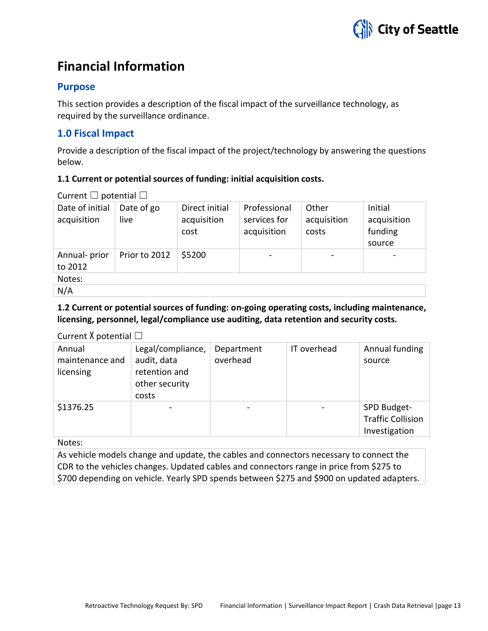

# **Financial Information**

# **Purpose**

This section provides a description of the fiscal impact of the surveillance technology, as required by the surveillance ordinance.

# **1.0 Fiscal Impact**

Provide a description of the fiscal impact of the project/technology by answering the questions below.

#### **1.1 Current or potential sources of funding: initial acquisition costs.**

Current  $\Box$  potential  $\Box$ 

| Date of initial<br>acquisition | Date of go<br>live | Direct initial<br>acquisition<br>cost | Professional<br>services for<br>acquisition | Other<br>acquisition<br>costs | Initial<br>acquisition<br>funding<br>source |
|--------------------------------|--------------------|---------------------------------------|---------------------------------------------|-------------------------------|---------------------------------------------|
| Annual- prior<br>to 2012       | Prior to 2012      | \$5200                                |                                             |                               |                                             |
| Notes:                         |                    |                                       |                                             |                               |                                             |
| N/A                            |                    |                                       |                                             |                               |                                             |

# **1.2 Current or potential sources of funding: on-going operating costs, including maintenance, licensing, personnel, legal/compliance use auditing, data retention and security costs.**

Current X potential  $\Box$ 

| Annual<br>maintenance and<br>licensing | Legal/compliance,<br>audit, data<br>retention and<br>other security<br>costs | Department<br>overhead | IT overhead | Annual funding<br>source                                 |
|----------------------------------------|------------------------------------------------------------------------------|------------------------|-------------|----------------------------------------------------------|
| \$1376.25                              |                                                                              |                        |             | SPD Budget-<br><b>Traffic Collision</b><br>Investigation |

Notes:

As vehicle models change and update, the cables and connectors necessary to connect the CDR to the vehicles changes. Updated cables and connectors range in price from \$275 to \$700 depending on vehicle. Yearly SPD spends between \$275 and \$900 on updated adapters.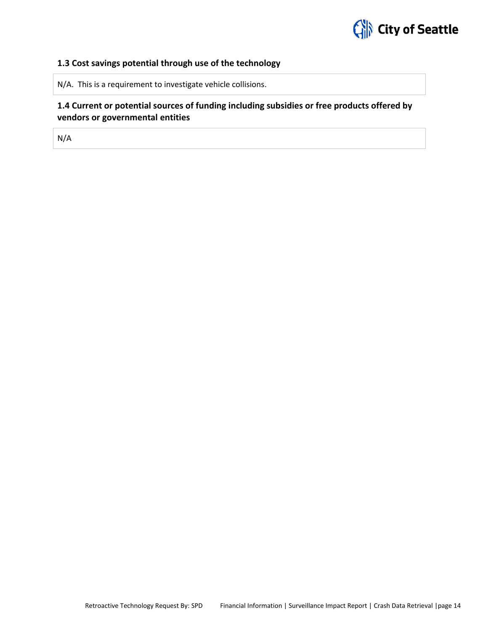

#### **1.3 Cost savings potential through use of the technology**

N/A. This is a requirement to investigate vehicle collisions.

# **1.4 Current or potential sources of funding including subsidies or free products offered by vendors or governmental entities**

N/A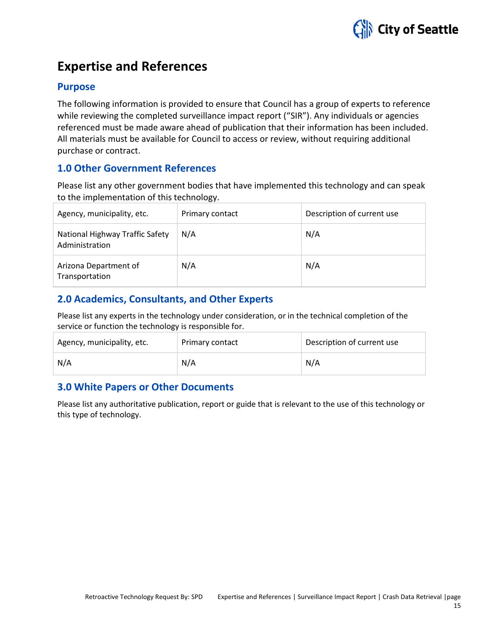

# **Expertise and References**

# **Purpose**

The following information is provided to ensure that Council has a group of experts to reference while reviewing the completed surveillance impact report ("SIR"). Any individuals or agencies referenced must be made aware ahead of publication that their information has been included. All materials must be available for Council to access or review, without requiring additional purchase or contract.

# **1.0 Other Government References**

Please list any other government bodies that have implemented this technology and can speak to the implementation of this technology.

| Agency, municipality, etc.                        | Primary contact | Description of current use |
|---------------------------------------------------|-----------------|----------------------------|
| National Highway Traffic Safety<br>Administration | N/A             | N/A                        |
| Arizona Department of<br>Transportation           | N/A             | N/A                        |

# **2.0 Academics, Consultants, and Other Experts**

Please list any experts in the technology under consideration, or in the technical completion of the service or function the technology is responsible for.

| Agency, municipality, etc. | Primary contact | Description of current use |
|----------------------------|-----------------|----------------------------|
| N/A                        | N/A             | N/A                        |

# **3.0 White Papers or Other Documents**

Please list any authoritative publication, report or guide that is relevant to the use of this technology or this type of technology.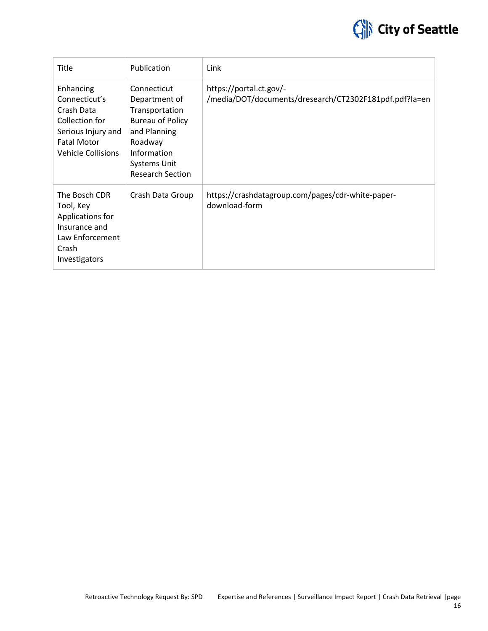

| Title                                                                                                                               | Publication                                                                                                                                                           | Link                                                                              |
|-------------------------------------------------------------------------------------------------------------------------------------|-----------------------------------------------------------------------------------------------------------------------------------------------------------------------|-----------------------------------------------------------------------------------|
| Enhancing<br>Connecticut's<br>Crash Data<br>Collection for<br>Serious Injury and<br><b>Fatal Motor</b><br><b>Vehicle Collisions</b> | Connecticut<br>Department of<br>Transportation<br><b>Bureau of Policy</b><br>and Planning<br>Roadway<br>Information<br><b>Systems Unit</b><br><b>Research Section</b> | https://portal.ct.gov/-<br>/media/DOT/documents/dresearch/CT2302F181pdf.pdf?la=en |
| The Bosch CDR<br>Tool, Key<br>Applications for<br>Insurance and<br>Law Enforcement<br>Crash<br>Investigators                        | Crash Data Group                                                                                                                                                      | https://crashdatagroup.com/pages/cdr-white-paper-<br>download-form                |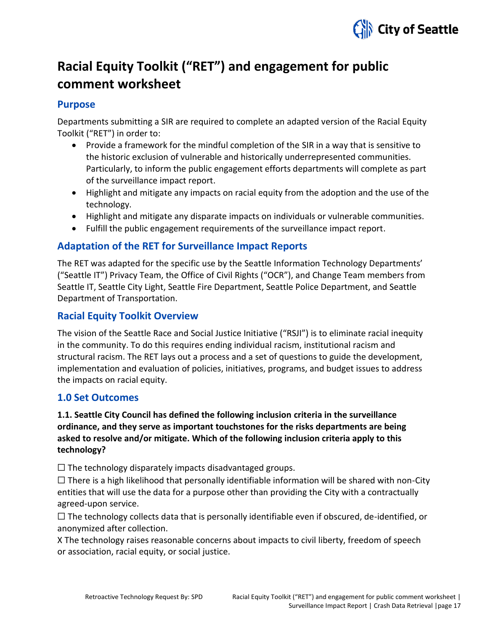

# **Racial Equity Toolkit ("RET") and engagement for public comment worksheet**

# **Purpose**

Departments submitting a SIR are required to complete an adapted version of the Racial Equity Toolkit ("RET") in order to:

- Provide a framework for the mindful completion of the SIR in a way that is sensitive to the historic exclusion of vulnerable and historically underrepresented communities. Particularly, to inform the public engagement efforts departments will complete as part of the surveillance impact report.
- Highlight and mitigate any impacts on racial equity from the adoption and the use of the technology.
- Highlight and mitigate any disparate impacts on individuals or vulnerable communities.
- Fulfill the public engagement requirements of the surveillance impact report.

# **Adaptation of the RET for Surveillance Impact Reports**

The RET was adapted for the specific use by the Seattle Information Technology Departments' ("Seattle IT") Privacy Team, the Office of Civil Rights ("OCR"), and Change Team members from Seattle IT, Seattle City Light, Seattle Fire Department, Seattle Police Department, and Seattle Department of Transportation.

# **Racial Equity Toolkit Overview**

The vision of the Seattle Race and Social Justice Initiative ("RSJI") is to eliminate racial inequity in the community. To do this requires ending individual racism, institutional racism and structural racism. The RET lays out a process and a set of questions to guide the development, implementation and evaluation of policies, initiatives, programs, and budget issues to address the impacts on racial equity.

# **1.0 Set Outcomes**

# **1.1. Seattle City Council has defined the following inclusion criteria in the surveillance ordinance, and they serve as important touchstones for the risks departments are being asked to resolve and/or mitigate. Which of the following inclusion criteria apply to this technology?**

 $\Box$  The technology disparately impacts disadvantaged groups.

 $\square$  There is a high likelihood that personally identifiable information will be shared with non-City entities that will use the data for a purpose other than providing the City with a contractually agreed-upon service.

 $\Box$  The technology collects data that is personally identifiable even if obscured, de-identified, or anonymized after collection.

X The technology raises reasonable concerns about impacts to civil liberty, freedom of speech or association, racial equity, or social justice.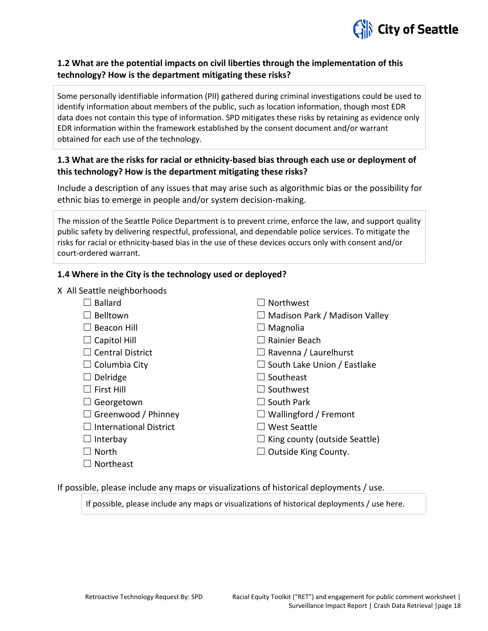

# **1.2 What are the potential impacts on civil liberties through the implementation of this technology? How is the department mitigating these risks?**

Some personally identifiable information (PII) gathered during criminal investigations could be used to identify information about members of the public, such as location information, though most EDR data does not contain this type of information. SPD mitigates these risks by retaining as evidence only EDR information within the framework established by the consent document and/or warrant obtained for each use of the technology.

# **1.3 What are the risks for racial or ethnicity-based bias through each use or deployment of this technology? How is the department mitigating these risks?**

Include a description of any issues that may arise such as algorithmic bias or the possibility for ethnic bias to emerge in people and/or system decision-making.

The mission of the Seattle Police Department is to prevent crime, enforce the law, and support quality public safety by delivering respectful, professional, and dependable police services. To mitigate the risks for racial or ethnicity-based bias in the use of these devices occurs only with consent and/or court-ordered warrant.

# **1.4 Where in the City is the technology used or deployed?**

|  |  | X All Seattle neighborhoods |  |  |  |
|--|--|-----------------------------|--|--|--|
|--|--|-----------------------------|--|--|--|

|  | Ballard |
|--|---------|
|--|---------|

- □ Belltown
- $\Box$  Beacon Hill
- $\Box$  Capitol Hill
- ☐ Central District
- $\Box$  Columbia City
- $\Box$  Delridge
- $\Box$  First Hill
- ☐ Georgetown
- $\Box$  Greenwood / Phinney
- $\Box$  International District
- $\Box$  Interbay
- ☐ North
- ☐ Northeast

☐ Northwest

- ☐ Madison Park / Madison Valley
- $\Box$  Magnolia
- ☐ Rainier Beach
- ☐ Ravenna / Laurelhurst
- □ South Lake Union / Eastlake
- □ Southeast
- □ Southwest
- $\Box$  South Park
- $\Box$  Wallingford / Fremont
- ☐ West Seattle
- $\Box$  King county (outside Seattle)
- $\Box$  Outside King County.

If possible, please include any maps or visualizations of historical deployments / use.

If possible, please include any maps or visualizations of historical deployments / use here.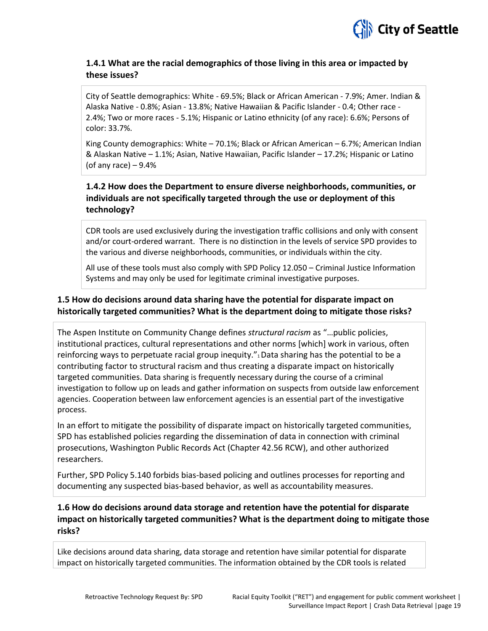

# **1.4.1 What are the racial demographics of those living in this area or impacted by these issues?**

City of Seattle demographics: White - 69.5%; Black or African American - 7.9%; Amer. Indian & Alaska Native - 0.8%; Asian - 13.8%; Native Hawaiian & Pacific Islander - 0.4; Other race - 2.4%; Two or more races - 5.1%; Hispanic or Latino ethnicity (of any race): 6.6%; Persons of color: 33.7%.

King County demographics: White – 70.1%; Black or African American – 6.7%; American Indian & Alaskan Native – 1.1%; Asian, Native Hawaiian, Pacific Islander – 17.2%; Hispanic or Latino (of any race)  $-9.4%$ 

# **1.4.2 How does the Department to ensure diverse neighborhoods, communities, or individuals are not specifically targeted through the use or deployment of this technology?**

CDR tools are used exclusively during the investigation traffic collisions and only with consent and/or court-ordered warrant. There is no distinction in the levels of service SPD provides to the various and diverse neighborhoods, communities, or individuals within the city.

All use of these tools must also comply with SPD Policy 12.050 – Criminal Justice Information Systems and may only be used for legitimate criminal investigative purposes.

# **1.5 How do decisions around data sharing have the potential for disparate impact on historically targeted communities? What is the department doing to mitigate those risks?**

The Aspen Institute on Community Change defines *structural racism* as "…public policies, institutional practices, cultural representations and other norms [which] work in various, often reinforcing ways to perpetuate racial group inequity."1 Data sharing has the potential to be a contributing factor to structural racism and thus creating a disparate impact on historically targeted communities. Data sharing is frequently necessary during the course of a criminal investigation to follow up on leads and gather information on suspects from outside law enforcement agencies. Cooperation between law enforcement agencies is an essential part of the investigative process.

In an effort to mitigate the possibility of disparate impact on historically targeted communities, SPD has established policies regarding the dissemination of data in connection with criminal prosecutions, Washington Public Records Act (Chapter 42.56 RCW), and other authorized researchers.

Further, SPD Policy 5.140 forbids bias-based policing and outlines processes for reporting and documenting any suspected bias-based behavior, as well as accountability measures.

# **1.6 How do decisions around data storage and retention have the potential for disparate impact on historically targeted communities? What is the department doing to mitigate those risks?**

Like decisions around data sharing, data storage and retention have similar potential for disparate impact on historically targeted communities. The information obtained by the CDR tools is related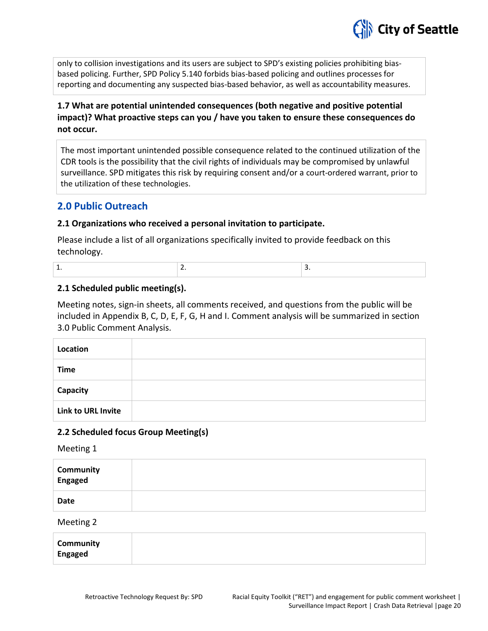

only to collision investigations and its users are subject to SPD's existing policies prohibiting biasbased policing. Further, SPD Policy 5.140 forbids bias-based policing and outlines processes for reporting and documenting any suspected bias-based behavior, as well as accountability measures.

# **1.7 What are potential unintended consequences (both negative and positive potential impact)? What proactive steps can you / have you taken to ensure these consequences do not occur.**

The most important unintended possible consequence related to the continued utilization of the CDR tools is the possibility that the civil rights of individuals may be compromised by unlawful surveillance. SPD mitigates this risk by requiring consent and/or a court-ordered warrant, prior to the utilization of these technologies.

# **2.0 Public Outreach**

#### **2.1 Organizations who received a personal invitation to participate.**

Please include a list of all organizations specifically invited to provide feedback on this technology.

|  | __ |
|--|----|
|  |    |

#### **2.1 Scheduled public meeting(s).**

Meeting notes, sign-in sheets, all comments received, and questions from the public will be included in Appendix B, C, D, E, F, G, H and I. Comment analysis will be summarized in section 3.0 Public Comment Analysis.

| Location                  |  |
|---------------------------|--|
| <b>Time</b>               |  |
| <b>Capacity</b>           |  |
| <b>Link to URL Invite</b> |  |

#### **2.2 Scheduled focus Group Meeting(s)**

Meeting 1

| <b>Community</b><br>Engaged |  |
|-----------------------------|--|
| Date                        |  |

Meeting 2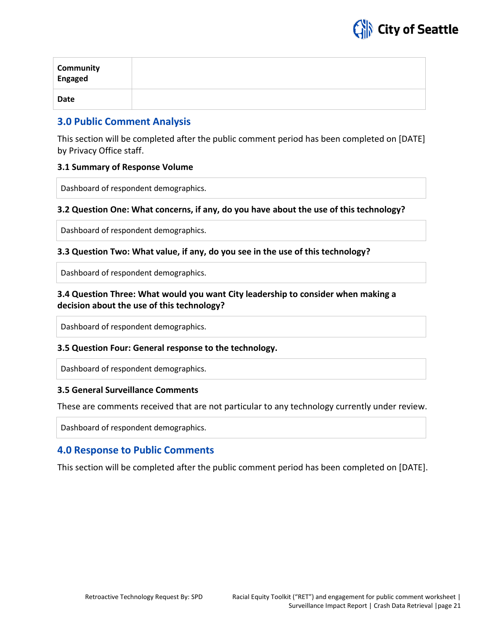

| <b>Community</b><br>Engaged |  |
|-----------------------------|--|
| Date                        |  |

# **3.0 Public Comment Analysis**

This section will be completed after the public comment period has been completed on [DATE] by Privacy Office staff.

#### **3.1 Summary of Response Volume**

Dashboard of respondent demographics.

#### **3.2 Question One: What concerns, if any, do you have about the use of this technology?**

Dashboard of respondent demographics.

#### **3.3 Question Two: What value, if any, do you see in the use of this technology?**

Dashboard of respondent demographics.

# **3.4 Question Three: What would you want City leadership to consider when making a decision about the use of this technology?**

Dashboard of respondent demographics.

#### **3.5 Question Four: General response to the technology.**

Dashboard of respondent demographics.

#### **3.5 General Surveillance Comments**

These are comments received that are not particular to any technology currently under review.

Dashboard of respondent demographics.

# **4.0 Response to Public Comments**

This section will be completed after the public comment period has been completed on [DATE].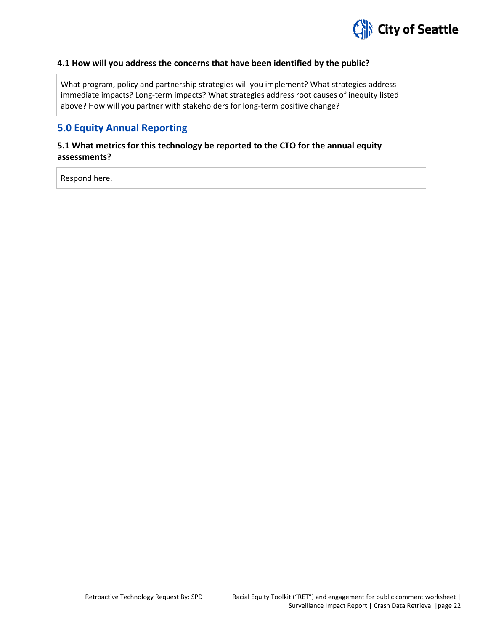

#### **4.1 How will you address the concerns that have been identified by the public?**

What program, policy and partnership strategies will you implement? What strategies address immediate impacts? Long-term impacts? What strategies address root causes of inequity listed above? How will you partner with stakeholders for long-term positive change?

# **5.0 Equity Annual Reporting**

#### **5.1 What metrics for this technology be reported to the CTO for the annual equity assessments?**

Respond here.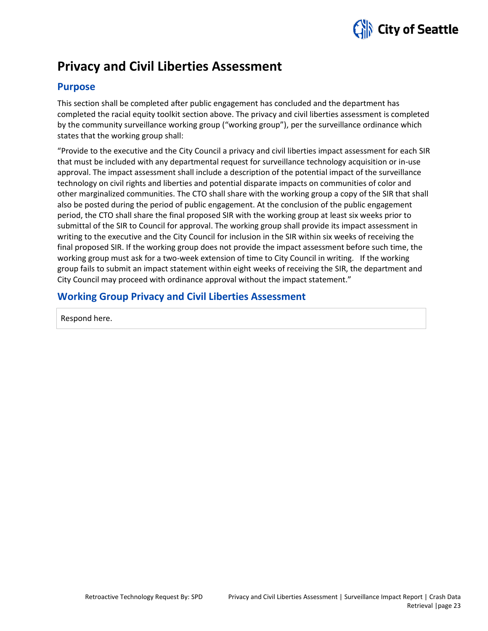

# **Privacy and Civil Liberties Assessment**

# **Purpose**

This section shall be completed after public engagement has concluded and the department has completed the racial equity toolkit section above. The privacy and civil liberties assessment is completed by the community surveillance working group ("working group"), per the surveillance ordinance which states that the working group shall:

"Provide to the executive and the City Council a privacy and civil liberties impact assessment for each SIR that must be included with any departmental request for surveillance technology acquisition or in-use approval. The impact assessment shall include a description of the potential impact of the surveillance technology on civil rights and liberties and potential disparate impacts on communities of color and other marginalized communities. The CTO shall share with the working group a copy of the SIR that shall also be posted during the period of public engagement. At the conclusion of the public engagement period, the CTO shall share the final proposed SIR with the working group at least six weeks prior to submittal of the SIR to Council for approval. The working group shall provide its impact assessment in writing to the executive and the City Council for inclusion in the SIR within six weeks of receiving the final proposed SIR. If the working group does not provide the impact assessment before such time, the working group must ask for a two-week extension of time to City Council in writing. If the working group fails to submit an impact statement within eight weeks of receiving the SIR, the department and City Council may proceed with ordinance approval without the impact statement."

# **Working Group Privacy and Civil Liberties Assessment**

Respond here.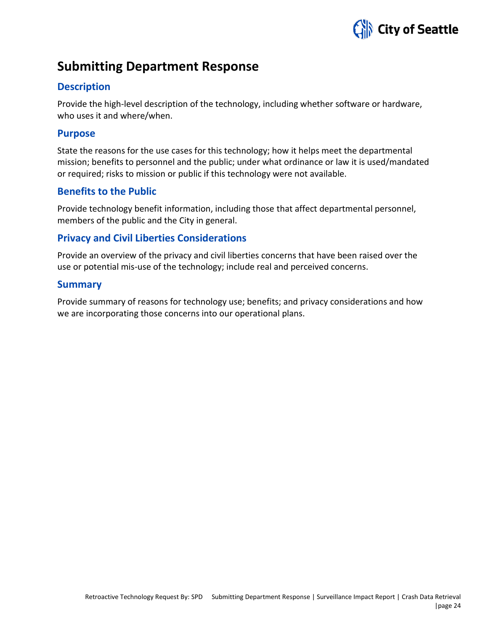

# **Submitting Department Response**

# **Description**

Provide the high-level description of the technology, including whether software or hardware, who uses it and where/when.

# **Purpose**

State the reasons for the use cases for this technology; how it helps meet the departmental mission; benefits to personnel and the public; under what ordinance or law it is used/mandated or required; risks to mission or public if this technology were not available.

# **Benefits to the Public**

Provide technology benefit information, including those that affect departmental personnel, members of the public and the City in general.

# **Privacy and Civil Liberties Considerations**

Provide an overview of the privacy and civil liberties concerns that have been raised over the use or potential mis-use of the technology; include real and perceived concerns.

# **Summary**

Provide summary of reasons for technology use; benefits; and privacy considerations and how we are incorporating those concerns into our operational plans.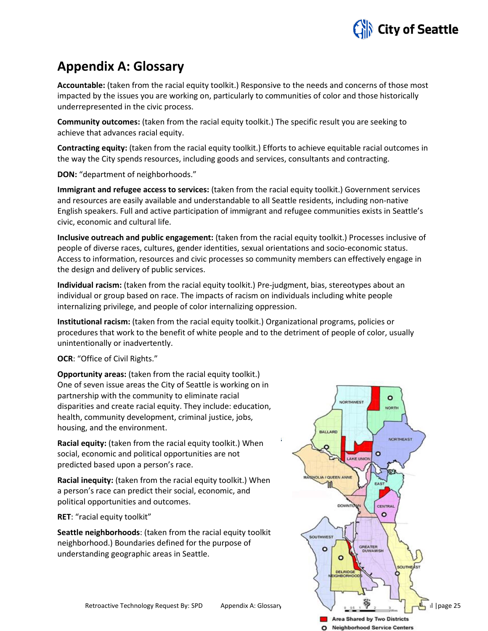

# **Appendix A: Glossary**

**Accountable:** (taken from the racial equity toolkit.) Responsive to the needs and concerns of those most impacted by the issues you are working on, particularly to communities of color and those historically underrepresented in the civic process.

**Community outcomes:** (taken from the racial equity toolkit.) The specific result you are seeking to achieve that advances racial equity.

**Contracting equity:** (taken from the racial equity toolkit.) Efforts to achieve equitable racial outcomes in the way the City spends resources, including goods and services, consultants and contracting.

**DON:** "department of neighborhoods."

**Immigrant and refugee access to services:** (taken from the racial equity toolkit.) Government services and resources are easily available and understandable to all Seattle residents, including non-native English speakers. Full and active participation of immigrant and refugee communities exists in Seattle's civic, economic and cultural life.

**Inclusive outreach and public engagement:** (taken from the racial equity toolkit.) Processes inclusive of people of diverse races, cultures, gender identities, sexual orientations and socio-economic status. Access to information, resources and civic processes so community members can effectively engage in the design and delivery of public services.

**Individual racism:** (taken from the racial equity toolkit.) Pre-judgment, bias, stereotypes about an individual or group based on race. The impacts of racism on individuals including white people internalizing privilege, and people of color internalizing oppression.

**Institutional racism:** (taken from the racial equity toolkit.) Organizational programs, policies or procedures that work to the benefit of white people and to the detriment of people of color, usually unintentionally or inadvertently.

**OCR**: "Office of Civil Rights."

**Opportunity areas:** (taken from the racial equity toolkit.) One of seven issue areas the City of Seattle is working on in partnership with the community to eliminate racial disparities and create racial equity. They include: education, health, community development, criminal justice, jobs, housing, and the environment.

**Racial equity:** (taken from the racial equity toolkit.) When social, economic and political opportunities are not predicted based upon a person's race.

**Racial inequity:** (taken from the racial equity toolkit.) When a person's race can predict their social, economic, and political opportunities and outcomes.

**RET**: "racial equity toolkit"

**Seattle neighborhoods**: (taken from the racial equity toolkit neighborhood.) Boundaries defined for the purpose of understanding geographic areas in Seattle.

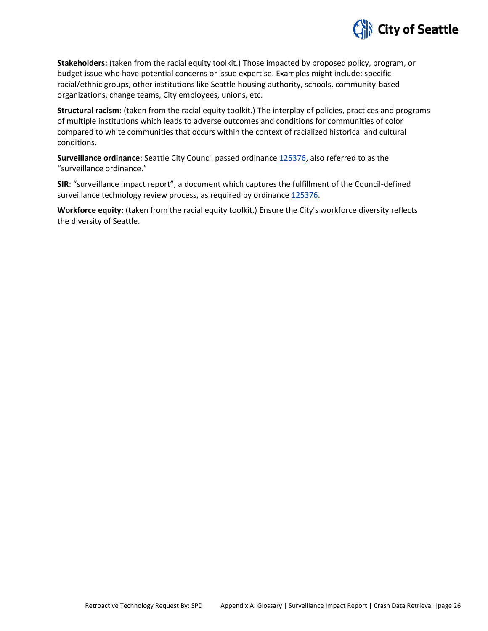

**Stakeholders:** (taken from the racial equity toolkit.) Those impacted by proposed policy, program, or budget issue who have potential concerns or issue expertise. Examples might include: specific racial/ethnic groups, other institutions like Seattle housing authority, schools, community-based organizations, change teams, City employees, unions, etc.

**Structural racism:** (taken from the racial equity toolkit.) The interplay of policies, practices and programs of multiple institutions which leads to adverse outcomes and conditions for communities of color compared to white communities that occurs within the context of racialized historical and cultural conditions.

**Surveillance ordinance**: Seattle City Council passed ordinanc[e 125376,](http://seattle.legistar.com/LegislationDetail.aspx?ID=2981172&GUID=0B2FEFC0-822F-4907-9409-E318537E5330&Options=Advanced&Search=) also referred to as the "surveillance ordinance."

**SIR**: "surveillance impact report", a document which captures the fulfillment of the Council-defined surveillance technology review process, as required by ordinanc[e 125376.](http://seattle.legistar.com/LegislationDetail.aspx?ID=2981172&GUID=0B2FEFC0-822F-4907-9409-E318537E5330&Options=Advanced&Search=)

**Workforce equity:** (taken from the racial equity toolkit.) Ensure the City's workforce diversity reflects the diversity of Seattle.